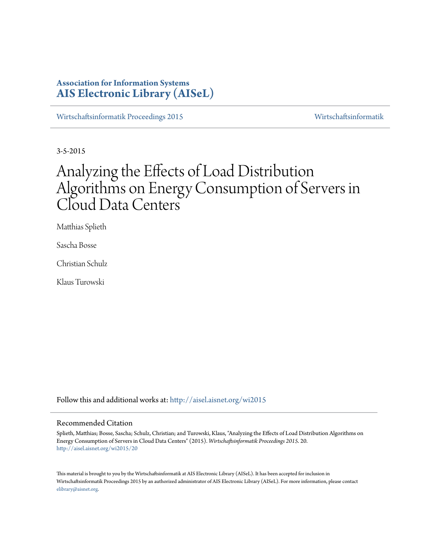# **Association for Information Systems [AIS Electronic Library \(AISeL\)](http://aisel.aisnet.org?utm_source=aisel.aisnet.org%2Fwi2015%2F20&utm_medium=PDF&utm_campaign=PDFCoverPages)**

[Wirtschaftsinformatik Proceedings 2015](http://aisel.aisnet.org/wi2015?utm_source=aisel.aisnet.org%2Fwi2015%2F20&utm_medium=PDF&utm_campaign=PDFCoverPages) [Wirtschaftsinformatik](http://aisel.aisnet.org/wi?utm_source=aisel.aisnet.org%2Fwi2015%2F20&utm_medium=PDF&utm_campaign=PDFCoverPages)

3-5-2015

# Analyzing the Effects of Load Distribution Algorithms on Energy Consumption of Servers in Cloud Data Centers

Matthias Splieth

Sascha Bosse

Christian Schulz

Klaus Turowski

Follow this and additional works at: [http://aisel.aisnet.org/wi2015](http://aisel.aisnet.org/wi2015?utm_source=aisel.aisnet.org%2Fwi2015%2F20&utm_medium=PDF&utm_campaign=PDFCoverPages)

#### Recommended Citation

Splieth, Matthias; Bosse, Sascha; Schulz, Christian; and Turowski, Klaus, "Analyzing the Effects of Load Distribution Algorithms on Energy Consumption of Servers in Cloud Data Centers" (2015). *Wirtschaftsinformatik Proceedings 2015*. 20. [http://aisel.aisnet.org/wi2015/20](http://aisel.aisnet.org/wi2015/20?utm_source=aisel.aisnet.org%2Fwi2015%2F20&utm_medium=PDF&utm_campaign=PDFCoverPages)

This material is brought to you by the Wirtschaftsinformatik at AIS Electronic Library (AISeL). It has been accepted for inclusion in Wirtschaftsinformatik Proceedings 2015 by an authorized administrator of AIS Electronic Library (AISeL). For more information, please contact [elibrary@aisnet.org.](mailto:elibrary@aisnet.org%3E)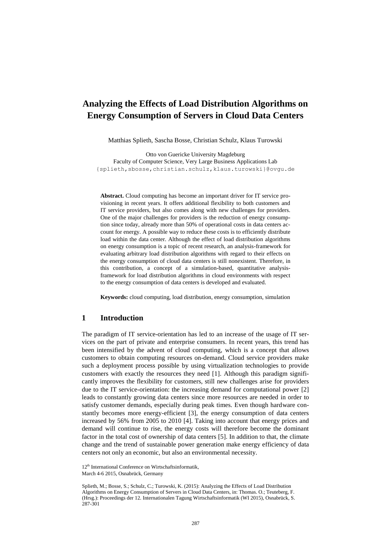# **Analyzing the Effects of Load Distribution Algorithms on Energy Consumption of Servers in Cloud Data Centers**

Matthias Splieth, Sascha Bosse, Christian Schulz, Klaus Turowski

Otto von Guericke University Magdeburg Faculty of Computer Science, Very Large Business Applications Lab {splieth,sbosse,christian.schulz,klaus.turowski}@ovgu.de

**Abstract.** Cloud computing has become an important driver for IT service provisioning in recent years. It offers additional flexibility to both customers and IT service providers, but also comes along with new challenges for providers. One of the major challenges for providers is the reduction of energy consumption since today, already more than 50% of operational costs in data centers account for energy. A possible way to reduce these costs is to efficiently distribute load within the data center. Although the effect of load distribution algorithms on energy consumption is a topic of recent research, an analysis-framework for evaluating arbitrary load distribution algorithms with regard to their effects on the energy consumption of cloud data centers is still nonexistent. Therefore, in this contribution, a concept of a simulation-based, quantitative analysisframework for load distribution algorithms in cloud environments with respect to the energy consumption of data centers is developed and evaluated.

**Keywords:** cloud computing, load distribution, energy consumption, simulation

#### **1 Introduction**

The paradigm of IT service-orientation has led to an increase of the usage of IT services on the part of private and enterprise consumers. In recent years, this trend has been intensified by the advent of cloud computing, which is a concept that allows customers to obtain computing resources on-demand. Cloud service providers make such a deployment process possible by using virtualization technologies to provide customers with exactly the resources they need [1]. Although this paradigm significantly improves the flexibility for customers, still new challenges arise for providers due to the IT service-orientation: the increasing demand for computational power [2] leads to constantly growing data centers since more resources are needed in order to satisfy customer demands, especially during peak times. Even though hardware constantly becomes more energy-efficient [3], the energy consumption of data centers increased by 56% from 2005 to 2010 [4]. Taking into account that energy prices and demand will continue to rise, the energy costs will therefore become the dominant factor in the total cost of ownership of data centers [5]. In addition to that, the climate change and the trend of sustainable power generation make energy efficiency of data centers not only an economic, but also an environmental necessity.

12<sup>th</sup> International Conference on Wirtschaftsinformatik, March 4-6 2015, Osnabrück, Germany

Splieth, M.; Bosse, S.; Schulz, C.; Turowski, K. (2015): Analyzing the Effects of Load Distribution Algorithms on Energy Consumption of Servers in Cloud Data Centers, in: Thomas. O.; Teuteberg, F. (Hrsg.): Proceedings der 12. Internationalen Tagung Wirtschaftsinformatik (WI 2015), Osnabrück, S. 287-301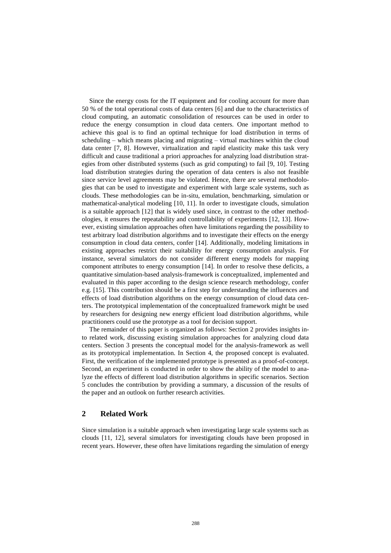Since the energy costs for the IT equipment and for cooling account for more than 50 % of the total operational costs of data centers [6] and due to the characteristics of cloud computing, an automatic consolidation of resources can be used in order to reduce the energy consumption in cloud data centers. One important method to achieve this goal is to find an optimal technique for load distribution in terms of scheduling – which means placing and migrating – virtual machines within the cloud data center [7, 8]. However, virtualization and rapid elasticity make this task very difficult and cause traditional a priori approaches for analyzing load distribution strategies from other distributed systems (such as grid computing) to fail [9, 10]. Testing load distribution strategies during the operation of data centers is also not feasible since service level agreements may be violated. Hence, there are several methodologies that can be used to investigate and experiment with large scale systems, such as clouds. These methodologies can be in-situ, emulation, benchmarking, simulation or mathematical-analytical modeling [10, 11]. In order to investigate clouds, simulation is a suitable approach [12] that is widely used since, in contrast to the other methodologies, it ensures the repeatability and controllability of experiments [12, 13]. However, existing simulation approaches often have limitations regarding the possibility to test arbitrary load distribution algorithms and to investigate their effects on the energy consumption in cloud data centers, confer [14]. Additionally, modeling limitations in existing approaches restrict their suitability for energy consumption analysis. For instance, several simulators do not consider different energy models for mapping component attributes to energy consumption [14]. In order to resolve these deficits, a quantitative simulation-based analysis-framework is conceptualized, implemented and evaluated in this paper according to the design science research methodology, confer e.g. [15]. This contribution should be a first step for understanding the influences and effects of load distribution algorithms on the energy consumption of cloud data centers. The prototypical implementation of the conceptualized framework might be used by researchers for designing new energy efficient load distribution algorithms, while practitioners could use the prototype as a tool for decision support.

The remainder of this paper is organized as follows: Section 2 provides insights into related work, discussing existing simulation approaches for analyzing cloud data centers. Section 3 presents the conceptual model for the analysis-framework as well as its prototypical implementation. In Section 4, the proposed concept is evaluated. First, the verification of the implemented prototype is presented as a proof-of-concept. Second, an experiment is conducted in order to show the ability of the model to analyze the effects of different load distribution algorithms in specific scenarios. Section 5 concludes the contribution by providing a summary, a discussion of the results of the paper and an outlook on further research activities.

## **2 Related Work**

Since simulation is a suitable approach when investigating large scale systems such as clouds [11, 12], several simulators for investigating clouds have been proposed in recent years. However, these often have limitations regarding the simulation of energy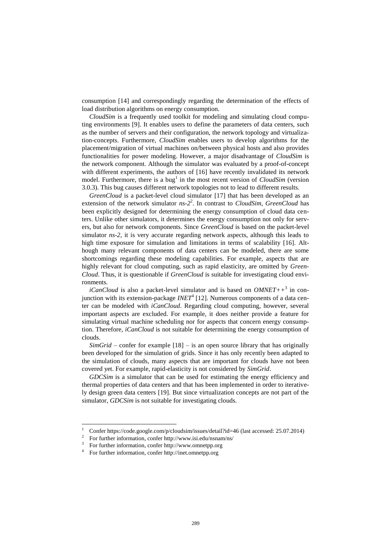consumption [14] and correspondingly regarding the determination of the effects of load distribution algorithms on energy consumption.

*CloudSim* is a frequently used toolkit for modeling and simulating cloud computing environments [9]. It enables users to define the parameters of data centers, such as the number of servers and their configuration, the network topology and virtualization-concepts. Furthermore, *CloudSim* enables users to develop algorithms for the placement/migration of virtual machines on/between physical hosts and also provides functionalities for power modeling. However, a major disadvantage of *CloudSim* is the network component. Although the simulator was evaluated by a proof-of-concept with different experiments, the authors of [16] have recently invalidated its network model. Furthermore, there is a bug<sup>1</sup> in the most recent version of *CloudSim* (version 3.0.3). This bug causes different network topologies not to lead to different results.

*GreenCloud* is a packet-level cloud simulator [17] that has been developed as an extension of the network simulator *ns-2* 2 . In contrast to *CloudSim*, *GreenCloud* has been explicitly designed for determining the energy consumption of cloud data centers. Unlike other simulators, it determines the energy consumption not only for servers, but also for network components. Since *GreenCloud* is based on the packet-level simulator *ns-2*, it is very accurate regarding network aspects, although this leads to high time exposure for simulation and limitations in terms of scalability [16]. Although many relevant components of data centers can be modeled, there are some shortcomings regarding these modeling capabilities. For example, aspects that are highly relevant for cloud computing, such as rapid elasticity, are omitted by *Green-Cloud*. Thus, it is questionable if *GreenCloud* is suitable for investigating cloud environments.

*iCanCloud* is also a packet-level simulator and is based on *OMNET++*<sup>3</sup> in conjunction with its extension-package *INET*<sup>4</sup> [12]. Numerous components of a data center can be modeled with *iCanCloud*. Regarding cloud computing, however, several important aspects are excluded. For example, it does neither provide a feature for simulating virtual machine scheduling nor for aspects that concern energy consumption. Therefore, *iCanCloud* is not suitable for determining the energy consumption of clouds.

*SimGrid* – confer for example [18] – is an open source library that has originally been developed for the simulation of grids. Since it has only recently been adapted to the simulation of clouds, many aspects that are important for clouds have not been covered yet. For example, rapid-elasticity is not considered by *SimGrid*.

*GDCSim* is a simulator that can be used for estimating the energy efficiency and thermal properties of data centers and that has been implemented in order to iteratively design green data centers [19]. But since virtualization concepts are not part of the simulator, *GDCSim* is not suitable for investigating clouds.

 $\overline{\phantom{a}}$ 

<sup>&</sup>lt;sup>1</sup> Confe[r https://code.google.com/p/cloudsim/issues/detail?id=46](https://code.google.com/p/cloudsim/issues/detail?id=46) (last accessed: 25.07.2014)

<sup>2</sup> For further information, confer http://www.isi.edu/nsnam/ns/

<sup>3</sup> For further information, confer http://www.omnetpp.org

<sup>4</sup> For further information, confer http://inet.omnetpp.org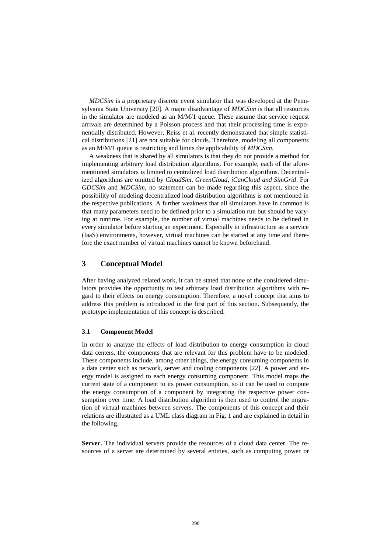*MDCSim* is a proprietary discrete event simulator that was developed at the Pennsylvania State University [20]. A major disadvantage of *MDCSim* is that all resources in the simulator are modeled as an M/M/1 queue. These assume that service request arrivals are determined by a Poisson process and that their processing time is exponentially distributed. However, Reiss et al. recently demonstrated that simple statistical distributions [21] are not suitable for clouds. Therefore, modeling all components as an M/M/1 queue is restricting and limits the applicability of *MDCSim*.

A weakness that is shared by all simulators is that they do not provide a method for implementing arbitrary load distribution algorithms. For example, each of the aforementioned simulators is limited to centralized load distribution algorithms. Decentralized algorithms are omitted by *CloudSim*, *GreenCloud*, *iCanCloud and SimGrid*. For *GDCSim* and *MDCSim*, no statement can be made regarding this aspect, since the possibility of modeling decentralized load distribution algorithms is not mentioned in the respective publications. A further weakness that all simulators have in common is that many parameters need to be defined prior to a simulation run but should be varying at runtime. For example, the number of virtual machines needs to be defined in every simulator before starting an experiment. Especially in infrastructure as a service (IaaS) environments, however, virtual machines can be started at any time and therefore the exact number of virtual machines cannot be known beforehand.

## **3 Conceptual Model**

After having analyzed related work, it can be stated that none of the considered simulators provides the opportunity to test arbitrary load distribution algorithms with regard to their effects on energy consumption. Therefore, a novel concept that aims to address this problem is introduced in the first part of this section. Subsequently, the prototype implementation of this concept is described.

#### **3.1 Component Model**

In order to analyze the effects of load distribution to energy consumption in cloud data centers, the components that are relevant for this problem have to be modeled. These components include, among other things, the energy consuming components in a data center such as network, server and cooling components [22]. A power and energy model is assigned to each energy consuming component. This model maps the current state of a component to its power consumption, so it can be used to compute the energy consumption of a component by integrating the respective power consumption over time. A load distribution algorithm is then used to control the migration of virtual machines between servers. The components of this concept and their relations are illustrated as a UML class diagram in [Fig. 1](#page-5-0) and are explained in detail in the following.

Server. The individual servers provide the resources of a cloud data center. The resources of a server are determined by several entities, such as computing power or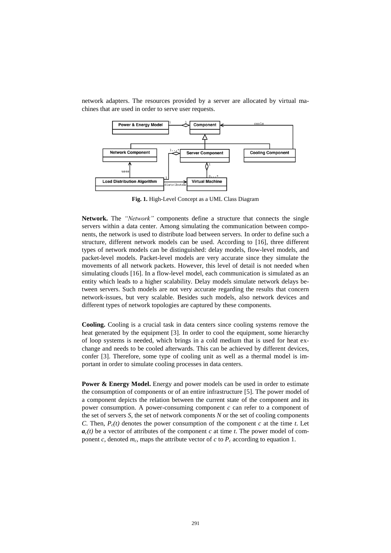

network adapters. The resources provided by a server are allocated by virtual machines that are used in order to serve user requests.

**Fig. 1.** High-Level Concept as a UML Class Diagram

<span id="page-5-0"></span>**Network.** The *"Network"* components define a structure that connects the single servers within a data center. Among simulating the communication between components, the network is used to distribute load between servers. In order to define such a structure, different network models can be used. According to [16], three different types of network models can be distinguished: delay models, flow-level models, and packet-level models. Packet-level models are very accurate since they simulate the movements of all network packets. However, this level of detail is not needed when simulating clouds [16]. In a flow-level model, each communication is simulated as an entity which leads to a higher scalability. Delay models simulate network delays between servers. Such models are not very accurate regarding the results that concern network-issues, but very scalable. Besides such models, also network devices and different types of network topologies are captured by these components.

**Cooling.** Cooling is a crucial task in data centers since cooling systems remove the heat generated by the equipment [3]. In order to cool the equipment, some hierarchy of loop systems is needed, which brings in a cold medium that is used for heat exchange and needs to be cooled afterwards. This can be achieved by different devices, confer [3]. Therefore, some type of cooling unit as well as a thermal model is important in order to simulate cooling processes in data centers.

**Power & Energy Model.** Energy and power models can be used in order to estimate the consumption of components or of an entire infrastructure [5]. The power model of a component depicts the relation between the current state of the component and its power consumption. A power-consuming component *c* can refer to a component of the set of servers *S*, the set of network components *N* or the set of cooling components *C*. Then,  $P_c(t)$  denotes the power consumption of the component *c* at the time *t*. Let  $a_c(t)$  be a vector of attributes of the component *c* at time *t*. The power model of component *c*, denoted  $m_c$ , maps the attribute vector of *c* to  $P_c$  according to equation 1.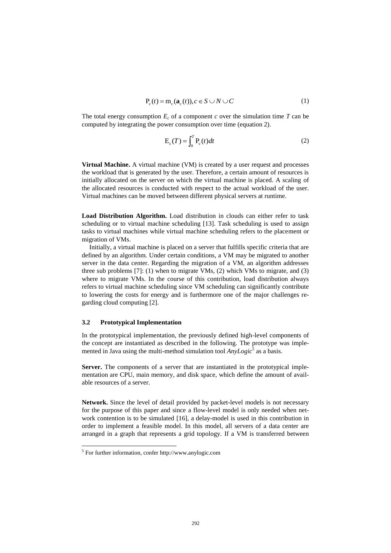$$
P_c(t) = m_c(\mathbf{a}_c(t)), c \in S \cup N \cup C
$$
 (1)

The total energy consumption  $E_c$  of a component  $c$  over the simulation time  $T$  can be computed by integrating the power consumption over time (equation 2).

$$
E_c(T) = \int_0^T P_c(t)dt
$$
 (2)

**Virtual Machine.** A virtual machine (VM) is created by a user request and processes the workload that is generated by the user. Therefore, a certain amount of resources is initially allocated on the server on which the virtual machine is placed. A scaling of the allocated resources is conducted with respect to the actual workload of the user. Virtual machines can be moved between different physical servers at runtime.

**Load Distribution Algorithm.** Load distribution in clouds can either refer to task scheduling or to virtual machine scheduling [13]. Task scheduling is used to assign tasks to virtual machines while virtual machine scheduling refers to the placement or migration of VMs.

Initially, a virtual machine is placed on a server that fulfills specific criteria that are defined by an algorithm. Under certain conditions, a VM may be migrated to another server in the data center. Regarding the migration of a VM, an algorithm addresses three sub problems [7]: (1) when to migrate VMs, (2) which VMs to migrate, and (3) where to migrate VMs. In the course of this contribution, load distribution always refers to virtual machine scheduling since VM scheduling can significantly contribute to lowering the costs for energy and is furthermore one of the major challenges regarding cloud computing [2].

#### **3.2 Prototypical Implementation**

In the prototypical implementation, the previously defined high-level components of the concept are instantiated as described in the following. The prototype was implemented in Java using the multi-method simulation tool  $Any Logic^{\bar{5}}$  as a basis.

**Server.** The components of a server that are instantiated in the prototypical implementation are CPU, main memory, and disk space, which define the amount of available resources of a server.

**Network.** Since the level of detail provided by packet-level models is not necessary for the purpose of this paper and since a flow-level model is only needed when network contention is to be simulated [16], a delay-model is used in this contribution in order to implement a feasible model. In this model, all servers of a data center are arranged in a graph that represents a grid topology. If a VM is transferred between

 $\overline{\phantom{a}}$ 

<sup>5</sup> For further information, confer http://www.anylogic.com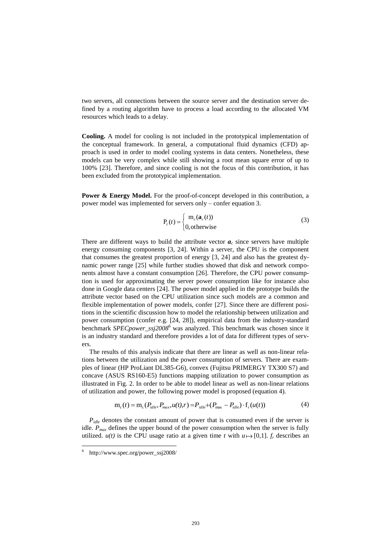two servers, all connections between the source server and the destination server defined by a routing algorithm have to process a load according to the allocated VM resources which leads to a delay.

**Cooling.** A model for cooling is not included in the prototypical implementation of the conceptual framework. In general, a computational fluid dynamics (CFD) approach is used in order to model cooling systems in data centers. Nonetheless, these models can be very complex while still showing a root mean square error of up to 100% [23]. Therefore, and since cooling is not the focus of this contribution, it has been excluded from the prototypical implementation.

**Power & Energy Model.** For the proof-of-concept developed in this contribution, a power model was implemented for servers only – confer equation 3.

$$
P_c(t) = \begin{cases} m_c(\mathbf{a}_c(t)) \\ 0, \text{otherwise} \end{cases}
$$
 (3)

There are different ways to build the attribute vector  $a_c$  since servers have multiple energy consuming components [3, 24]. Within a server, the CPU is the component that consumes the greatest proportion of energy [3, 24] and also has the greatest dynamic power range [25] while further studies showed that disk and network components almost have a constant consumption [26]. Therefore, the CPU power consumption is used for approximating the server power consumption like for instance also done in Google data centers [24]. The power model applied in the prototype builds the attribute vector based on the CPU utilization since such models are a common and flexible implementation of power models, confer [27]. Since there are different positions in the scientific discussion how to model the relationship between utilization and power consumption (confer e.g. [24, 28]), empirical data from the industry-standard benchmark *SPECpower* ssj2008<sup>6</sup> was analyzed. This benchmark was chosen since it is an industry standard and therefore provides a lot of data for different types of servers.

The results of this analysis indicate that there are linear as well as non-linear relations between the utilization and the power consumption of servers. There are examples of linear (HP ProLiant DL385-G6), convex (Fujitsu PRIMERGY TX300 S7) and concave (ASUS RS160-E5) functions mapping utilization to power consumption as illustrated in [Fig. 2.](#page-8-0) In order to be able to model linear as well as non-linear relations of utilization and power, the following power model is proposed (equation 4).

$$
m_c(t) = m_c(P_{idle}, P_{max}, u(t), r) = P_{idle} + (P_{max} - P_{idle}) \cdot f_r(u(t))
$$
\n(4)

 $P_{idle}$  denotes the constant amount of power that is consumed even if the server is idle.  $P_{max}$  defines the upper bound of the power consumption when the server is fully utilized.  $u(t)$  is the CPU usage ratio at a given time *t* with  $u \mapsto [0,1]$ . *f<sub>r</sub>* describes an

 $\overline{\phantom{a}}$ 

<sup>6</sup> http://www.spec.org/power\_ssj2008/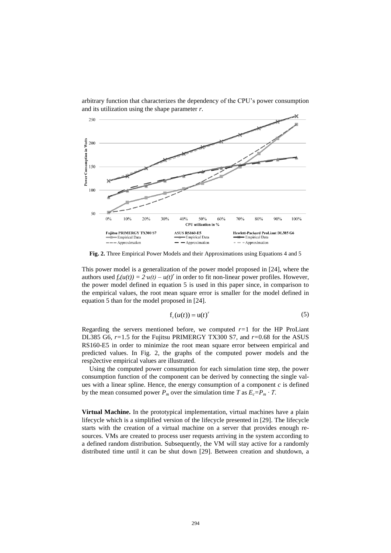arbitrary function that characterizes the dependency of the CPU's power consumption and its utilization using the shape parameter *r*.



<span id="page-8-0"></span>**Fig. 2.** Three Empirical Power Models and their Approximations using Equations 4 and 5

This power model is a generalization of the power model proposed in [24], where the authors used  $f_r(u(t)) = 2 \cdot u(t) - u(t)^r$  in order to fit non-linear power profiles. However, the power model defined in equation 5 is used in this paper since, in comparison to the empirical values, the root mean square error is smaller for the model defined in equation 5 than for the model proposed in [24].

$$
f_r(u(t)) = u(t)^r
$$
 (5)

Regarding the servers mentioned before, we computed  $r=1$  for the HP ProLiant DL385 G6, *r=*1.5 for the Fujitsu PRIMERGY TX300 S7, and *r=*0.68 for the ASUS RS160-E5 in order to minimize the root mean square error between empirical and predicted values. In [Fig. 2,](#page-8-0) the graphs of the computed power models and the resp2ective empirical values are illustrated.

Using the computed power consumption for each simulation time step, the power consumption function of the component can be derived by connecting the single values with a linear spline. Hence, the energy consumption of a component  $c$  is defined by the mean consumed power  $P_m$  over the simulation time  $T$  as  $E_c = P_m \cdot T$ .

**Virtual Machine.** In the prototypical implementation, virtual machines have a plain lifecycle which is a simplified version of the lifecycle presented in [29]. The lifecycle starts with the creation of a virtual machine on a server that provides enough resources. VMs are created to process user requests arriving in the system according to a defined random distribution. Subsequently, the VM will stay active for a randomly distributed time until it can be shut down [29]. Between creation and shutdown, a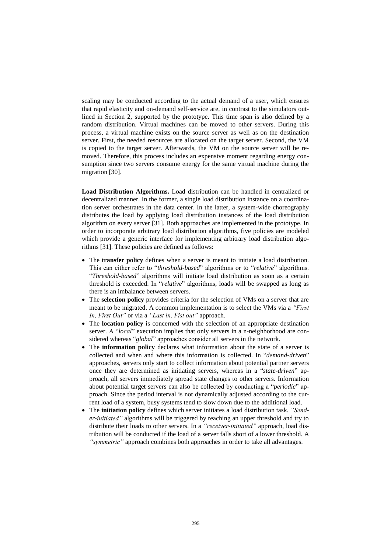scaling may be conducted according to the actual demand of a user, which ensures that rapid elasticity and on-demand self-service are, in contrast to the simulators outlined in Section 2, supported by the prototype. This time span is also defined by a random distribution. Virtual machines can be moved to other servers. During this process, a virtual machine exists on the source server as well as on the destination server. First, the needed resources are allocated on the target server. Second, the VM is copied to the target server. Afterwards, the VM on the source server will be removed. Therefore, this process includes an expensive moment regarding energy consumption since two servers consume energy for the same virtual machine during the migration [30].

**Load Distribution Algorithms.** Load distribution can be handled in centralized or decentralized manner. In the former, a single load distribution instance on a coordination server orchestrates in the data center. In the latter, a system-wide choreography distributes the load by applying load distribution instances of the load distribution algorithm on every server [31]. Both approaches are implemented in the prototype. In order to incorporate arbitrary load distribution algorithms, five policies are modeled which provide a generic interface for implementing arbitrary load distribution algorithms [31]. These policies are defined as follows:

- The **transfer policy** defines when a server is meant to initiate a load distribution. This can either refer to "*threshold-based*" algorithms or to "*relative*" algorithms. "*Threshold-based*" algorithms will initiate load distribution as soon as a certain threshold is exceeded. In "*relative*" algorithms, loads will be swapped as long as there is an imbalance between servers.
- The **selection policy** provides criteria for the selection of VMs on a server that are meant to be migrated. A common implementation is to select the VMs via a *"First In, First Out"* or via a *"Last in, Fist out"* approach.
- The **location policy** is concerned with the selection of an appropriate destination server. A "*local*" execution implies that only servers in a n-neighborhood are considered whereas "*global*" approaches consider all servers in the network.
- The **information policy** declares what information about the state of a server is collected and when and where this information is collected. In "*demand-driven*" approaches, servers only start to collect information about potential partner servers once they are determined as initiating servers, whereas in a "*state-driven*" approach, all servers immediately spread state changes to other servers. Information about potential target servers can also be collected by conducting a "*periodic*" approach. Since the period interval is not dynamically adjusted according to the current load of a system, busy systems tend to slow down due to the additional load.
- The **initiation policy** defines which server initiates a load distribution task. *"Sender-initiated"* algorithms will be triggered by reaching an upper threshold and try to distribute their loads to other servers. In a *"receiver-initiated"* approach, load distribution will be conducted if the load of a server falls short of a lower threshold. A *"symmetric"* approach combines both approaches in order to take all advantages.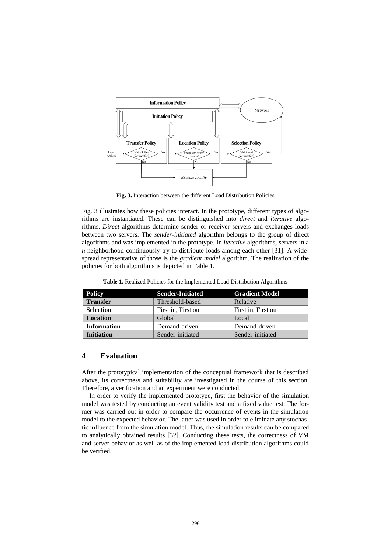

**Fig. 3.** Interaction between the different Load Distribution Policies

<span id="page-10-0"></span>[Fig. 3](#page-10-0) illustrates how these policies interact. In the prototype, different types of algorithms are instantiated. These can be distinguished into *direct* and *iterative* algorithms. *Direct* algorithms determine sender or receiver servers and exchanges loads between two servers. The *sender-initiated* algorithm belongs to the group of direct algorithms and was implemented in the prototype. In *iterative* algorithms, servers in a *n*-neighborhood continuously try to distribute loads among each other [31]. A widespread representative of those is the *gradient model* algorithm. The realization of the policies for both algorithms is depicted in [Table 1.](#page-10-1)

**Table 1.** Realized Policies for the Implemented Load Distribution Algorithms

<span id="page-10-1"></span>

| <b>Policy</b>      | <b>Sender-Initiated</b> | <b>Gradient Model</b> |  |
|--------------------|-------------------------|-----------------------|--|
| <b>Transfer</b>    | Threshold-based         | Relative              |  |
| <b>Selection</b>   | First in, First out     | First in, First out   |  |
| <b>Location</b>    | Global                  | Local                 |  |
| <b>Information</b> | Demand-driven           | Demand-driven         |  |
| <b>Initiation</b>  | Sender-initiated        | Sender-initiated      |  |

### **4 Evaluation**

After the prototypical implementation of the conceptual framework that is described above, its correctness and suitability are investigated in the course of this section. Therefore, a verification and an experiment were conducted.

In order to verify the implemented prototype, first the behavior of the simulation model was tested by conducting an event validity test and a fixed value test. The former was carried out in order to compare the occurrence of events in the simulation model to the expected behavior. The latter was used in order to eliminate any stochastic influence from the simulation model. Thus, the simulation results can be compared to analytically obtained results [32]. Conducting these tests, the correctness of VM and server behavior as well as of the implemented load distribution algorithms could be verified.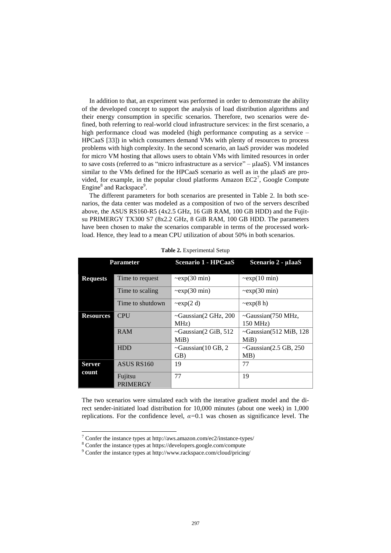In addition to that, an experiment was performed in order to demonstrate the ability of the developed concept to support the analysis of load distribution algorithms and their energy consumption in specific scenarios. Therefore, two scenarios were defined, both referring to real-world cloud infrastructure services: in the first scenario, a high performance cloud was modeled (high performance computing as a service – HPCaaS [33]) in which consumers demand VMs with plenty of resources to process problems with high complexity. In the second scenario, an IaaS provider was modeled for micro VM hosting that allows users to obtain VMs with limited resources in order to save costs (referred to as "micro infrastructure as a service" – μIaaS). VM instances similar to the VMs defined for the HPCaaS scenario as well as in the uIaaS are provided, for example, in the popular cloud platforms Amazon  $EC2^7$ , Google Compute Engine<sup>8</sup> and Rackspace<sup>9</sup>.

The different parameters for both scenarios are presented in [Table 2.](#page-11-0) In both scenarios, the data center was modeled as a composition of two of the servers described above, the ASUS RS160-R5 (4x2.5 GHz, 16 GiB RAM, 100 GB HDD) and the Fujitsu PRIMERGY TX300 S7 (8x2.2 GHz, 8 GiB RAM, 100 GB HDD. The parameters have been chosen to make the scenarios comparable in terms of the processed workload. Hence, they lead to a mean CPU utilization of about 50% in both scenarios.

<span id="page-11-0"></span>

|                  | <b>Parameter</b>           | Scenario 1 - HPCaaS           | Scenario 2 - µIaaS            |
|------------------|----------------------------|-------------------------------|-------------------------------|
|                  |                            |                               |                               |
| <b>Requests</b>  | Time to request            | $\sim$ exp $(30 \text{ min})$ | $\sim$ exp $(10 \text{ min})$ |
|                  | Time to scaling            | $\sim$ exp $(30 \text{ min})$ | $\sim$ exp $(30 \text{ min})$ |
|                  | Time to shutdown           | $\exp(2 d)$                   | $\exp(8 h)$                   |
| <b>Resources</b> | <b>CPU</b>                 | $\sim$ Gaussian(2 GHz, 200    | $\sim$ Gaussian(750 MHz,      |
|                  |                            | MHz)                          | 150 MHz)                      |
|                  | <b>RAM</b>                 | $\sim$ Gaussian(2 GiB, 512    | $\sim$ Gaussian(512 MiB, 128  |
|                  |                            | MiB)                          | MiB                           |
|                  | <b>HDD</b>                 | ~Gaussian(10 GB, 2            | $\sim$ Gaussian(2.5 GB, 250   |
|                  |                            | GB)                           | MB)                           |
| <b>Server</b>    | ASUS RS160                 | 19                            | 77                            |
| count            |                            |                               |                               |
|                  | Fujitsu<br><b>PRIMERGY</b> | 77                            | 19                            |

**Table 2.** Experimental Setup

The two scenarios were simulated each with the iterative gradient model and the direct sender-initiated load distribution for 10,000 minutes (about one week) in 1,000 replications. For the confidence level,  $\alpha$ =0.1 was chosen as significance level. The

l

<sup>7</sup> Confer the instance types at http://aws.amazon.com/ec2/instance-types/

<sup>&</sup>lt;sup>8</sup> Confer the instance types at https://developers.google.com/compute

<sup>9</sup> Confer the instance types at http://www.rackspace.com/cloud/pricing/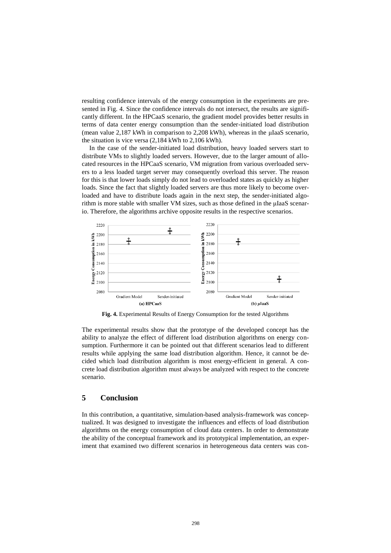resulting confidence intervals of the energy consumption in the experiments are presented in [Fig. 4.](#page-12-0) Since the confidence intervals do not intersect, the results are significantly different. In the HPCaaS scenario, the gradient model provides better results in terms of data center energy consumption than the sender-initiated load distribution (mean value 2,187 kWh in comparison to 2,208 kWh), whereas in the μIaaS scenario, the situation is vice versa (2,184 kWh to 2,106 kWh).

In the case of the sender-initiated load distribution, heavy loaded servers start to distribute VMs to slightly loaded servers. However, due to the larger amount of allocated resources in the HPCaaS scenario, VM migration from various overloaded servers to a less loaded target server may consequently overload this server. The reason for this is that lower loads simply do not lead to overloaded states as quickly as higher loads. Since the fact that slightly loaded servers are thus more likely to become overloaded and have to distribute loads again in the next step, the sender-initiated algorithm is more stable with smaller VM sizes, such as those defined in the μIaaS scenario. Therefore, the algorithms archive opposite results in the respective scenarios.



**Fig. 4.** Experimental Results of Energy Consumption for the tested Algorithms

<span id="page-12-0"></span>The experimental results show that the prototype of the developed concept has the ability to analyze the effect of different load distribution algorithms on energy consumption. Furthermore it can be pointed out that different scenarios lead to different results while applying the same load distribution algorithm. Hence, it cannot be decided which load distribution algorithm is most energy-efficient in general. A concrete load distribution algorithm must always be analyzed with respect to the concrete scenario.

#### **5 Conclusion**

In this contribution, a quantitative, simulation-based analysis-framework was conceptualized. It was designed to investigate the influences and effects of load distribution algorithms on the energy consumption of cloud data centers. In order to demonstrate the ability of the conceptual framework and its prototypical implementation, an experiment that examined two different scenarios in heterogeneous data centers was con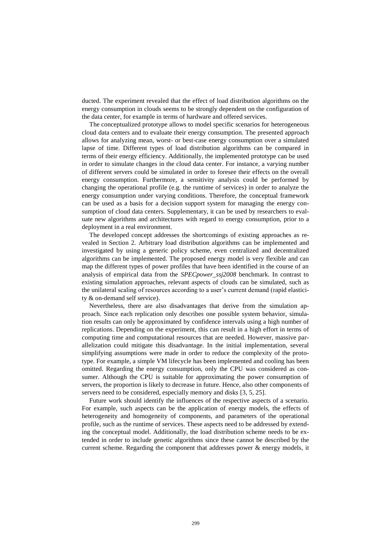ducted. The experiment revealed that the effect of load distribution algorithms on the energy consumption in clouds seems to be strongly dependent on the configuration of the data center, for example in terms of hardware and offered services.

The conceptualized prototype allows to model specific scenarios for heterogeneous cloud data centers and to evaluate their energy consumption. The presented approach allows for analyzing mean, worst- or best-case energy consumption over a simulated lapse of time. Different types of load distribution algorithms can be compared in terms of their energy efficiency. Additionally, the implemented prototype can be used in order to simulate changes in the cloud data center. For instance, a varying number of different servers could be simulated in order to foresee their effects on the overall energy consumption. Furthermore, a sensitivity analysis could be performed by changing the operational profile (e.g. the runtime of services) in order to analyze the energy consumption under varying conditions. Therefore, the conceptual framework can be used as a basis for a decision support system for managing the energy consumption of cloud data centers. Supplementary, it can be used by researchers to evaluate new algorithms and architectures with regard to energy consumption, prior to a deployment in a real environment.

The developed concept addresses the shortcomings of existing approaches as revealed in Section 2. Arbitrary load distribution algorithms can be implemented and investigated by using a generic policy scheme, even centralized and decentralized algorithms can be implemented. The proposed energy model is very flexible and can map the different types of power profiles that have been identified in the course of an analysis of empirical data from the *SPECpower\_ssj2008* benchmark. In contrast to existing simulation approaches, relevant aspects of clouds can be simulated, such as the unilateral scaling of resources according to a user's current demand (rapid elasticity & on-demand self service).

Nevertheless, there are also disadvantages that derive from the simulation approach. Since each replication only describes one possible system behavior, simulation results can only be approximated by confidence intervals using a high number of replications. Depending on the experiment, this can result in a high effort in terms of computing time and computational resources that are needed. However, massive parallelization could mitigate this disadvantage. In the initial implementation, several simplifying assumptions were made in order to reduce the complexity of the prototype. For example, a simple VM lifecycle has been implemented and cooling has been omitted. Regarding the energy consumption, only the CPU was considered as consumer. Although the CPU is suitable for approximating the power consumption of servers, the proportion is likely to decrease in future. Hence, also other components of servers need to be considered, especially memory and disks [3, 5, 25].

Future work should identify the influences of the respective aspects of a scenario. For example, such aspects can be the application of energy models, the effects of heterogeneity and homogeneity of components, and parameters of the operational profile, such as the runtime of services. These aspects need to be addressed by extending the conceptual model. Additionally, the load distribution scheme needs to be extended in order to include genetic algorithms since these cannot be described by the current scheme. Regarding the component that addresses power & energy models, it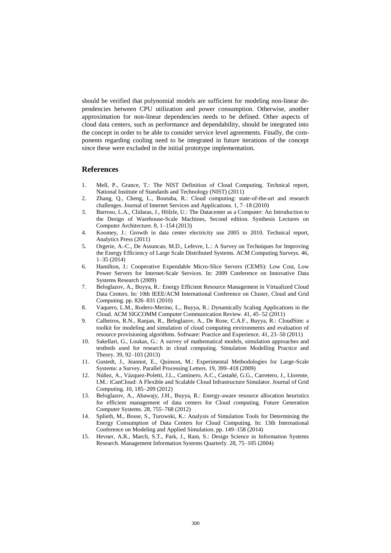should be verified that polynomial models are sufficient for modeling non-linear dependencies between CPU utilization and power consumption. Otherwise, another approximation for non-linear dependencies needs to be defined. Other aspects of cloud data centers, such as performance and dependability, should be integrated into the concept in order to be able to consider service level agreements. Finally, the components regarding cooling need to be integrated in future iterations of the concept since these were excluded in the initial prototype implementation.

#### **References**

- 1. Mell, P., Grance, T.: The NIST Definition of Cloud Computing. Technical report, National Institute of Standards and Technology (NIST) (2011)
- 2. Zhang, Q., Cheng, L., Boutaba, R.: Cloud computing: state-of-the-art and research challenges. Journal of Internet Services and Applications. 1, 7–18 (2010)
- 3. Barroso, L.A., Clidaras, J., Hölzle, U.: The Datacenter as a Computer: An Introduction to the Design of Warehouse-Scale Machines, Second edition. Synthesis Lectures on Computer Architecture. 8, 1–154 (2013)
- 4. Koomey, J.: Growth in data center electricity use 2005 to 2010. Technical report, Analytics Press (2011)
- 5. Orgerie, A.-C., De Assuncao, M.D., Lefevre, L.: A Survey on Techniques for Improving the Energy Efficiency of Large Scale Distributed Systems. ACM Computing Surveys. 46, 1–35 (2014)
- 6. Hamilton, J.: Cooperative Expendable Micro-Slice Servers (CEMS): Low Cost, Low Power Servers for Internet-Scale Services. In: 2009 Conference on Innovative Data Systems Research (2009)
- 7. Beloglazov, A., Buyya, R.: Energy Efficient Resource Management in Virtualized Cloud Data Centers. In: 10th IEEE/ACM International Conference on Cluster, Cloud and Grid Computing. pp. 826–831 (2010)
- 8. Vaquero, L.M., Rodero-Merino, L., Buyya, R.: Dynamically Scaling Applications in the Cloud. ACM SIGCOMM Computer Communication Review. 41, 45–52 (2011)
- 9. Calheiros, R.N., Ranjan, R., Beloglazov, A., De Rose, C.A.F., Buyya, R.: CloudSim: a toolkit for modeling and simulation of cloud computing environments and evaluation of resource provisioning algorithms. Software: Practice and Experience. 41, 23–50 (2011)
- 10. Sakellari, G., Loukas, G.: A survey of mathematical models, simulation approaches and testbeds used for research in cloud computing. Simulation Modelling Practice and Theory. 39, 92–103 (2013)
- 11. Gustedt, J., Jeannot, E., Quinson, M.: Experimental Methodologies for Large-Scale Systems: a Survey. Parallel Processing Letters. 19, 399–418 (2009)
- 12. Núñez, A., Vázquez-Poletti, J.L., Caminero, A.C., Castañé, G.G., Carretero, J., Llorente, I.M.: iCanCloud: A Flexible and Scalable Cloud Infrastructure Simulator. Journal of Grid Computing. 10, 185–209 (2012)
- 13. Beloglazov, A., Abawajy, J.H., Buyya, R.: Energy-aware resource allocation heuristics for efficient management of data centers for Cloud computing. Future Generation Computer Systems. 28, 755–768 (2012)
- 14. Splieth, M., Bosse, S., Turowski, K.: Analysis of Simulation Tools for Determining the Energy Consumption of Data Centers for Cloud Computing. In: 13th International Conference on Modeling and Applied Simulation. pp. 149–158 (2014)
- 15. Hevner, A.R., March, S.T., Park, J., Ram, S.: Design Science in Information Systems Research. Management Information Systems Quarterly. 28, 75–105 (2004)